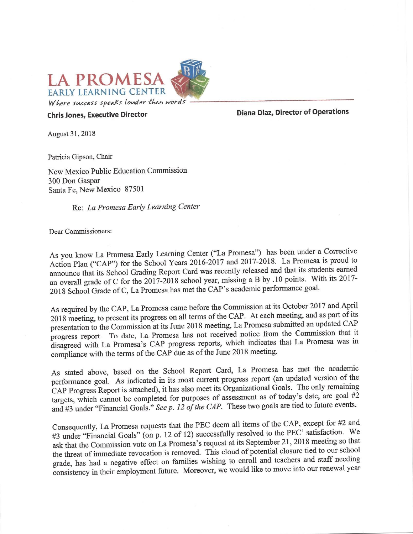

**Chris Jones, Executive Director** 

**Diana Diaz, Director of Operations** 

August 31, 2018

Patricia Gipson, Chair

New Mexico Public Education Commission 300 Don Gaspar Santa Fe, New Mexico 87501

Re: La Promesa Early Learning Center

Dear Commissioners:

As you know La Promesa Early Learning Center ("La Promesa") has been under a Corrective Action Plan ("CAP") for the School Years 2016-2017 and 2017-2018. La Promesa is proud to announce that its School Grading Report Card was recently released and that its students earned an overall grade of C for the 2017-2018 school year, missing a B by .10 points. With its 2017-2018 School Grade of C, La Promesa has met the CAP's academic performance goal.

As required by the CAP, La Promesa came before the Commission at its October 2017 and April 2018 meeting, to present its progress on all terms of the CAP. At each meeting, and as part of its presentation to the Commission at its June 2018 meeting, La Promesa submitted an updated CAP progress report. To date, La Promesa has not received notice from the Commission that it disagreed with La Promesa's CAP progress reports, which indicates that La Promesa was in compliance with the terms of the CAP due as of the June 2018 meeting.

As stated above, based on the School Report Card, La Promesa has met the academic performance goal. As indicated in its most current progress report (an updated version of the CAP Progress Report is attached), it has also meet its Organizational Goals. The only remaining targets, which cannot be completed for purposes of assessment as of today's date, are goal  $#2$ and #3 under "Financial Goals." See p. 12 of the CAP. These two goals are tied to future events.

Consequently, La Promesa requests that the PEC deem all items of the CAP, except for #2 and #3 under "Financial Goals" (on p. 12 of 12) successfully resolved to the PEC' satisfaction. We ask that the Commission vote on La Promesa's request at its September 21, 2018 meeting so that the threat of immediate revocation is removed. This cloud of potential closure tied to our school grade, has had a negative effect on families wishing to enroll and teachers and staff needing consistency in their employment future. Moreover, we would like to move into our renewal year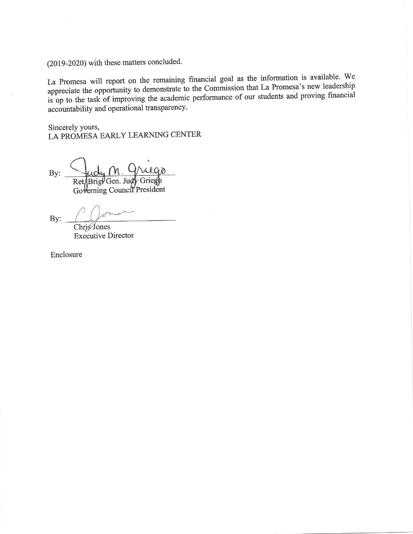(2019-2020) with these matters concluded.

La Promesa will report on the remaining financial goal as the information is available. We appreciate the opportunity to demonstrate to the Commission that La Promesa's new leadership is up to the task of improving the academic performance of our students and proving financial accountability and operational transparency.

Sincerely yours, LA PROMESA EARLY LEARNING CENTER

By: Ret/Brig/Gen. Judy Griego Governing Council President

By:

Chris<sup>J</sup>ones **Executive Director** 

Enclosure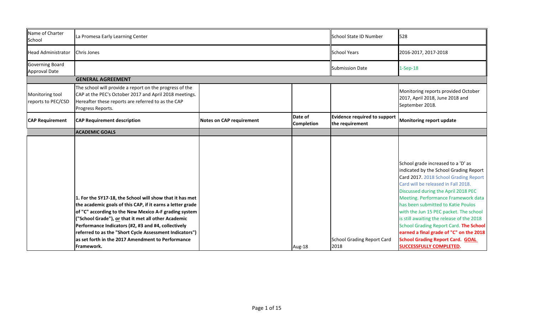| Name of Charter<br>School             | La Promesa Early Learning Center                                                                                                                                                                                                                                                                                                                                                                                             |                                 |                       | School State ID Number                                 | 528                                                                                                                                                                                                                                                                                                                                                                                                                                                                                                                                       |
|---------------------------------------|------------------------------------------------------------------------------------------------------------------------------------------------------------------------------------------------------------------------------------------------------------------------------------------------------------------------------------------------------------------------------------------------------------------------------|---------------------------------|-----------------------|--------------------------------------------------------|-------------------------------------------------------------------------------------------------------------------------------------------------------------------------------------------------------------------------------------------------------------------------------------------------------------------------------------------------------------------------------------------------------------------------------------------------------------------------------------------------------------------------------------------|
| <b>Head Administrator</b>             | <b>Chris Jones</b>                                                                                                                                                                                                                                                                                                                                                                                                           |                                 |                       | <b>School Years</b>                                    | 2016-2017, 2017-2018                                                                                                                                                                                                                                                                                                                                                                                                                                                                                                                      |
| Governing Board<br>Approval Date      |                                                                                                                                                                                                                                                                                                                                                                                                                              |                                 |                       | <b>Submission Date</b>                                 | $1-Sep-18$                                                                                                                                                                                                                                                                                                                                                                                                                                                                                                                                |
|                                       | <b>GENERAL AGREEMENT</b>                                                                                                                                                                                                                                                                                                                                                                                                     |                                 |                       |                                                        |                                                                                                                                                                                                                                                                                                                                                                                                                                                                                                                                           |
| Monitoring tool<br>reports to PEC/CSD | The school will provide a report on the progress of the<br>CAP at the PEC's October 2017 and April 2018 meetings.<br>Hereafter these reports are referred to as the CAP<br>Progress Reports.                                                                                                                                                                                                                                 |                                 |                       |                                                        | Monitoring reports provided October<br>2017, April 2018, June 2018 and<br>September 2018.                                                                                                                                                                                                                                                                                                                                                                                                                                                 |
| <b>CAP Requirement</b>                | <b>CAP Requirement description</b>                                                                                                                                                                                                                                                                                                                                                                                           | <b>Notes on CAP requirement</b> | Date of<br>Completion | <b>Evidence required to support</b><br>the requirement | Monitoring report update                                                                                                                                                                                                                                                                                                                                                                                                                                                                                                                  |
|                                       | <b>ACADEMIC GOALS</b>                                                                                                                                                                                                                                                                                                                                                                                                        |                                 |                       |                                                        |                                                                                                                                                                                                                                                                                                                                                                                                                                                                                                                                           |
|                                       | 1. For the SY17-18, the School will show that it has met<br>the academic goals of this CAP, if it earns a letter grade<br>of "C" according to the New Mexico A-F grading system<br>("School Grade"), or that it met all other Academic<br>Performance Indicators (#2, #3 and #4, collectively<br>referred to as the "Short Cycle Assessment Indicators")<br>as set forth in the 2017 Amendment to Performance<br>lFramework. |                                 | Aug-18                | <b>School Grading Report Card</b><br>2018              | School grade increased to a 'D' as<br>indicated by the School Grading Report<br>Card 2017. 2018 School Grading Report<br>Card will be released in Fall 2018.<br>Discussed during the April 2018 PEC<br>Meeting. Performance Framework data<br>has been submitted to Katie Poulos<br>with the Jun 15 PEC packet. The school<br>is still awaiting the release of the 2018<br>School Grading Report Card. The School<br>earned a final grade of "C" on the 2018<br><b>School Grading Report Card. GOAL</b><br><b>SUCCESSFULLY COMPLETED.</b> |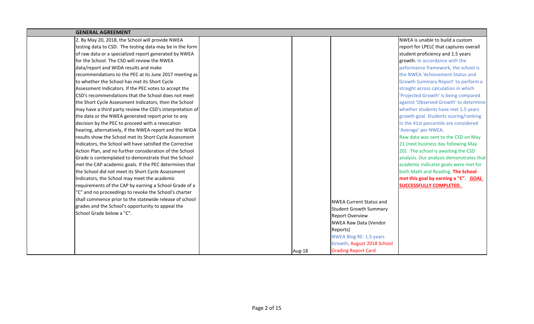| <b>GENERAL AGREEMENT</b>                                  |        |                                |                                          |
|-----------------------------------------------------------|--------|--------------------------------|------------------------------------------|
| 2. By May 20, 2018, the School will provide NWEA          |        |                                | NWEA is unable to build a custom         |
| testing data to CSD. The testing data may be in the form  |        |                                | report for LPELC that captures overall   |
| of raw data or a specialized report generated by NWEA     |        |                                | student proficiency and 1.5 years        |
| for the School. The CSD will review the NWEA              |        |                                | growth. In accordance with the           |
| data/report and WIDA results and make                     |        |                                | peformance framework, the school is      |
| recommendations to the PEC at its June 2017 meeting as    |        |                                | the NWEA 'Achievement Status and         |
| to whether the School has met its Short Cycle             |        |                                | Growth Summary Report' to perform a      |
| Assessment Indicators. If the PEC votes to accept the     |        |                                | straight across calculation in which     |
| CSD's recommendations that the School does not meet       |        |                                | 'Projected Growth' is being compared     |
| the Short Cycle Assessment Indicators, then the School    |        |                                | against 'Observed Growth' to determine   |
| may have a third party review the CSD's interpretation of |        |                                | whether students have met 1.5 years      |
| the data or the NWEA generated report prior to any        |        |                                | growth goal. Students scoring/ranking    |
| decision by the PEC to proceed with a revocation          |        |                                | in the 41st percentile are considered    |
| hearing, alternatively, if the NWEA report and the WIDA   |        |                                | 'Average' per NWEA.                      |
| results show the School met its Short Cycle Assessment    |        |                                | Raw data was sent to the CSD on May      |
| Indicators, the School will have satisfied the Corrective |        |                                | 21 (next business day following May      |
| Action Plan, and no further consideration of the School   |        |                                | 20). The school is awaiting the CSD      |
| Grade is contemplated to demonstrate that the School      |        |                                | analysis. Our analysis demonstrates that |
| met the CAP academic goals. If the PEC determines that    |        |                                | academic indicator goals were met for    |
| the School did not meet its Short Cycle Assessment        |        |                                | both Math and Reading. The School        |
| Indicators, the School may meet the academic              |        |                                | met this goal by earning a "C". GOAL     |
| requirements of the CAP by earning a School Grade of a    |        |                                | <b>SUCCESSFULLY COMPLETED.</b>           |
| 'C" and no proceedings to revoke the School's charter     |        |                                |                                          |
| shall commence prior to the statewide release of school   |        | <b>NWEA Current Status and</b> |                                          |
| grades and the School's opportunity to appeal the         |        | <b>Student Growth Summary</b>  |                                          |
| School Grade below a "C".                                 |        | <b>Report Overview</b>         |                                          |
|                                                           |        | NWEA Raw Data (Vendor          |                                          |
|                                                           |        | Reports)                       |                                          |
|                                                           |        | <b>NWEA Blog RE: 1.5 years</b> |                                          |
|                                                           |        | Growth; August 2018 School     |                                          |
|                                                           | Aug-18 | <b>Grading Report Card</b>     |                                          |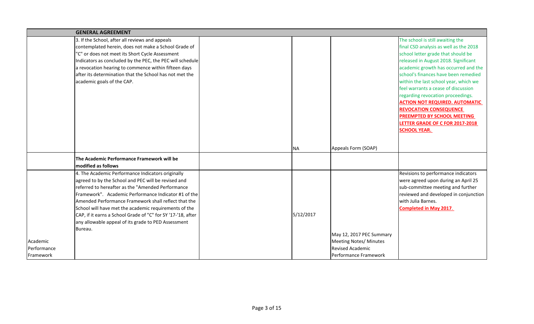|             | <b>GENERAL AGREEMENT</b>                                     |           |                               |                                        |
|-------------|--------------------------------------------------------------|-----------|-------------------------------|----------------------------------------|
|             | 3. If the School, after all reviews and appeals              |           |                               | The school is still awaiting the       |
|             | contemplated herein, does not make a School Grade of         |           |                               | final CSD analysis as well as the 2018 |
|             | "C" or does not meet its Short Cycle Assessment              |           |                               | school letter grade that should be     |
|             | Indicators as concluded by the PEC, the PEC will schedule    |           |                               | released in August 2018. Significant   |
|             | a revocation hearing to commence within fifteen days         |           |                               | academic growth has occurred and the   |
|             | after its determination that the School has not met the      |           |                               | school's finances have been remedied   |
|             | academic goals of the CAP.                                   |           |                               | within the last school year, which we  |
|             |                                                              |           |                               | feel warrants a cease of discussion    |
|             |                                                              |           |                               | regarding revocation proceedings.      |
|             |                                                              |           |                               | <b>ACTION NOT REQUIRED. AUTOMATIC</b>  |
|             |                                                              |           |                               | <b>REVOCATION CONSEQUENCE</b>          |
|             |                                                              |           |                               | <b>PREEMPTED BY SCHOOL MEETING</b>     |
|             |                                                              |           |                               | LETTER GRADE OF C FOR 2017-2018        |
|             |                                                              |           |                               | <b>SCHOOL YEAR.</b>                    |
|             |                                                              |           |                               |                                        |
|             |                                                              | <b>NA</b> | Appeals Form (SOAP)           |                                        |
|             | The Academic Performance Framework will be                   |           |                               |                                        |
|             | modified as follows                                          |           |                               |                                        |
|             | 4. The Academic Performance Indicators originally            |           |                               | Revisions to performance indicators    |
|             | agreed to by the School and PEC will be revised and          |           |                               | were agreed upon during an April 25    |
|             | referred to hereafter as the "Amended Performance            |           |                               | sub-committee meeting and further      |
|             | Framework". Academic Performance Indicator #1 of the         |           |                               | reviewed and developed in conjunction  |
|             | Amended Performance Framework shall reflect that the         |           |                               | with Julia Barnes.                     |
|             | School will have met the academic requirements of the        |           |                               | <b>Completed in May 2017.</b>          |
|             | CAP, if it earns a School Grade of "C" for SY '17-'18, after | 5/12/2017 |                               |                                        |
|             | any allowable appeal of its grade to PED Assessment          |           |                               |                                        |
|             | Bureau.                                                      |           |                               |                                        |
|             |                                                              |           | May 12, 2017 PEC Summary      |                                        |
| Academic    |                                                              |           | <b>Meeting Notes/ Minutes</b> |                                        |
| Performance |                                                              |           | <b>Revised Academic</b>       |                                        |
| Framework   |                                                              |           | Performance Framework         |                                        |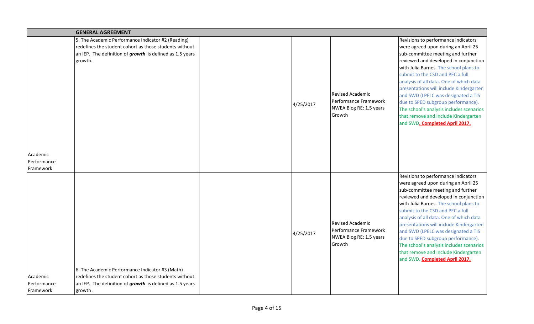|                                      | <b>GENERAL AGREEMENT</b>                                                                                                                                                                |           |                                                                                       |                                                                                                                                                                                                                                                                                                                                                                                                                                                                                                                                 |
|--------------------------------------|-----------------------------------------------------------------------------------------------------------------------------------------------------------------------------------------|-----------|---------------------------------------------------------------------------------------|---------------------------------------------------------------------------------------------------------------------------------------------------------------------------------------------------------------------------------------------------------------------------------------------------------------------------------------------------------------------------------------------------------------------------------------------------------------------------------------------------------------------------------|
| Academic<br>Performance<br>Framework | 5. The Academic Performance Indicator #2 (Reading)<br>redefines the student cohort as those students without<br>an IEP. The definition of growth is defined as 1.5 years<br>growth.     | 4/25/2017 | <b>Revised Academic</b><br>Performance Framework<br>NWEA Blog RE: 1.5 years<br>Growth | Revisions to performance indicators<br>were agreed upon during an April 25<br>sub-committee meeting and further<br>reviewed and developed in conjunction<br>with Julia Barnes. The school plans to<br>submit to the CSD and PEC a full<br>analysis of all data. One of which data<br>presentations will include Kindergarten<br>and SWD (LPELC was designated a TIS<br>due to SPED subgroup performance).<br>The school's analysis includes scenarios<br>that remove and include Kindergarten<br>and SWD. Completed April 2017. |
| Academic<br>Performance<br>Framework | 6. The Academic Performance Indicator #3 (Math)<br>redefines the student cohort as those students without<br>an IEP. The definition of <b>growth</b> is defined as 1.5 years<br>growth. | 4/25/2017 | <b>Revised Academic</b><br>Performance Framework<br>NWEA Blog RE: 1.5 years<br>Growth | Revisions to performance indicators<br>were agreed upon during an April 25<br>sub-committee meeting and further<br>reviewed and developed in conjunction<br>with Julia Barnes. The school plans to<br>submit to the CSD and PEC a full<br>analysis of all data. One of which data<br>presentations will include Kindergarten<br>and SWD (LPELC was designated a TIS<br>due to SPED subgroup performance).<br>The school's analysis includes scenarios<br>that remove and include Kindergarten<br>and SWD. Completed April 2017. |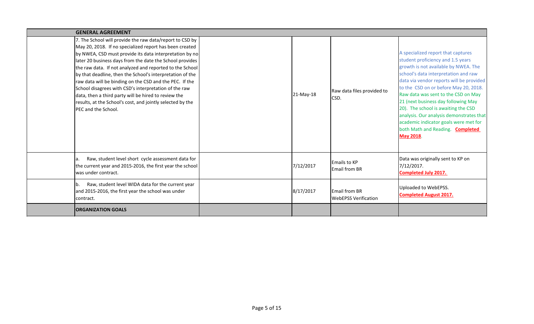| <b>GENERAL AGREEMENT</b>                                                                                                                                                                                                                                                                                                                                                                                                                                                                                                                                                                                                                     |           |                                                     |                                                                                                                                                                                                                                                                                                                                                                                                                                                                                                                 |
|----------------------------------------------------------------------------------------------------------------------------------------------------------------------------------------------------------------------------------------------------------------------------------------------------------------------------------------------------------------------------------------------------------------------------------------------------------------------------------------------------------------------------------------------------------------------------------------------------------------------------------------------|-----------|-----------------------------------------------------|-----------------------------------------------------------------------------------------------------------------------------------------------------------------------------------------------------------------------------------------------------------------------------------------------------------------------------------------------------------------------------------------------------------------------------------------------------------------------------------------------------------------|
| 7. The School will provide the raw data/report to CSD by<br>May 20, 2018. If no specialized report has been created<br>by NWEA, CSD must provide its data interpretation by no<br>later 20 business days from the date the School provides<br>the raw data. If not analyzed and reported to the School<br>by that deadline, then the School's interpretation of the<br>raw data will be binding on the CSD and the PEC. If the<br>School disagrees with CSD's interpretation of the raw<br>data, then a third party will be hired to review the<br>results, at the School's cost, and jointly selected by the<br><b>IPEC and the School.</b> | 21-May-18 | Raw data files provided to<br>CSD.                  | A specialized report that captures<br>student proficiency and 1.5 years<br>growth is not available by NWEA. The<br>school's data interpretation and raw<br>data via vendor reports will be provided<br>to the CSD on or before May 20, 2018.<br>Raw data was sent to the CSD on May<br>21 (next business day following May<br>20). The school is awaiting the CSD<br>analysis. Our analysis demonstrates that<br>academic indicator goals were met for<br>both Math and Reading. Completed<br><b>May 2018</b> . |
| Raw, student level short cycle assessment data for<br>la.<br>the current year and 2015-2016, the first year the school<br>Iwas under contract.                                                                                                                                                                                                                                                                                                                                                                                                                                                                                               | 7/12/2017 | <b>Emails to KP</b><br><b>Email from BR</b>         | Data was originally sent to KP on<br>7/12/2017.<br><b>Completed July 2017.</b>                                                                                                                                                                                                                                                                                                                                                                                                                                  |
| Raw, student level WIDA data for the current year<br>lb.<br>and 2015-2016, the first year the school was under<br>contract.                                                                                                                                                                                                                                                                                                                                                                                                                                                                                                                  | 8/17/2017 | <b>Email from BR</b><br><b>WebEPSS Verification</b> | Uploaded to WebEPSS.<br><b>Completed August 2017.</b>                                                                                                                                                                                                                                                                                                                                                                                                                                                           |
| <b>ORGANIZATION GOALS</b>                                                                                                                                                                                                                                                                                                                                                                                                                                                                                                                                                                                                                    |           |                                                     |                                                                                                                                                                                                                                                                                                                                                                                                                                                                                                                 |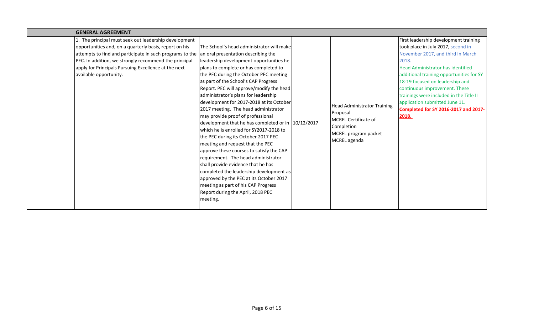| <b>GENERAL AGREEMENT</b>                                                                                                                                                                                                                                                                                               |                                                                                                                                                                                                                                                                                                                                                                                                                                                                                                                                                                                                                                                                                                                                                                                                                                                                                                                                                        |                                                                                                                                     |                                                                                                                                                                                                                                                                                                                                                                                                                     |
|------------------------------------------------------------------------------------------------------------------------------------------------------------------------------------------------------------------------------------------------------------------------------------------------------------------------|--------------------------------------------------------------------------------------------------------------------------------------------------------------------------------------------------------------------------------------------------------------------------------------------------------------------------------------------------------------------------------------------------------------------------------------------------------------------------------------------------------------------------------------------------------------------------------------------------------------------------------------------------------------------------------------------------------------------------------------------------------------------------------------------------------------------------------------------------------------------------------------------------------------------------------------------------------|-------------------------------------------------------------------------------------------------------------------------------------|---------------------------------------------------------------------------------------------------------------------------------------------------------------------------------------------------------------------------------------------------------------------------------------------------------------------------------------------------------------------------------------------------------------------|
| 1. The principal must seek out leadership development<br>opportunities and, on a quarterly basis, report on his<br>attempts to find and participate in such programs to the<br>PEC. In addition, we strongly recommend the principal<br>apply for Principals Pursuing Excellence at the next<br>available opportunity. | The School's head administrator will make<br>an oral presentation describing the<br>leadership development opportunities he<br>plans to complete or has completed to<br>the PEC during the October PEC meeting<br>as part of the School's CAP Progress<br>Report. PEC will approve/modify the head<br>administrator's plans for leadership<br>development for 2017-2018 at its October<br>2017 meeting. The head administrator<br>may provide proof of professional<br>development that he has completed or in 10/12/2017<br>which he is enrolled for SY2017-2018 to<br>the PEC during its October 2017 PEC<br>meeting and request that the PEC<br>approve these courses to satisfy the CAP<br>requirement. The head administrator<br>shall provide evidence that he has<br>completed the leadership development as<br>approved by the PEC at its October 2017<br>meeting as part of his CAP Progress<br>Report during the April, 2018 PEC<br>meeting. | <b>Head Administrator Training</b><br>Proposal<br><b>MCREL Certificate of</b><br>Completion<br>MCREL program packet<br>MCREL agenda | First leadership development training<br>took place in July 2017, second in<br>November 2017, and third in March<br>2018.<br>Head Administrator has identified<br>additional training opportunities for SY<br>18-19 focused on leadership and<br>continuous improvement. These<br>trainings were included in the Title II<br>application submitted June 11.<br><b>Completed for SY 2016-2017 and 2017-</b><br>2018. |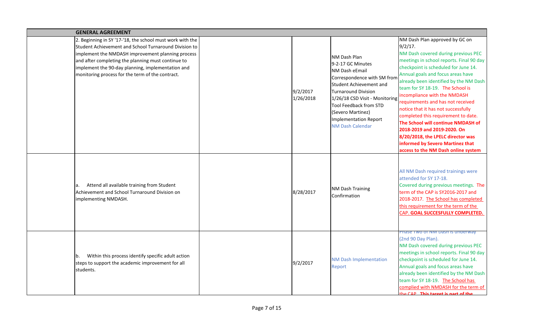| <b>GENERAL AGREEMENT</b>                                                                                                                                                                                                                                                                                                               |                                                                                                                                                                                                                                                                                                                  |                                                                                                                                                                                                                                                                                                                                                                                                                                                                                                                                                                                                                                 |
|----------------------------------------------------------------------------------------------------------------------------------------------------------------------------------------------------------------------------------------------------------------------------------------------------------------------------------------|------------------------------------------------------------------------------------------------------------------------------------------------------------------------------------------------------------------------------------------------------------------------------------------------------------------|---------------------------------------------------------------------------------------------------------------------------------------------------------------------------------------------------------------------------------------------------------------------------------------------------------------------------------------------------------------------------------------------------------------------------------------------------------------------------------------------------------------------------------------------------------------------------------------------------------------------------------|
| 2. Beginning in SY '17-'18, the school must work with the<br>Student Achievement and School Turnaround Division to<br>implement the NMDASH improvement planning process<br>and after completing the planning must continue to<br>implement the 90-day planning, implementation and<br>monitoring process for the term of the contract. | NM Dash Plan<br>9-2-17 GC Minutes<br>NM Dash eEmail<br>Correspondence with SM from<br>Student Achievement and<br>9/2/2017<br><b>Turnaround Division</b><br>1/26/2018<br>1/26/18 CSD Visit - Monitoring<br><b>Tool Feedback from STD</b><br>(Severo Martinez)<br>Implementation Report<br><b>NM Dash Calendar</b> | NM Dash Plan approved by GC on<br>9/2/17.<br>NM Dash covered during previous PEC<br>meetings in school reports. Final 90 day<br>checkpoint is scheduled for June 14.<br>Annual goals and focus areas have<br>already been identified by the NM Dash<br>team for SY 18-19. The School is<br>incompliance with the NMDASH<br>requirements and has not received<br>notice that it has not successfully<br>completed this requirement to date.<br>The School will continue NMDASH of<br>2018-2019 and 2019-2020. On<br>8/20/2018, the LPELC director was<br>informed by Severo Martinez that<br>access to the NM Dash online system |
| Attend all available training from Student<br>la.<br>Achievement and School Turnaround Division on<br>implementing NMDASH.                                                                                                                                                                                                             | <b>NM Dash Training</b><br>8/28/2017<br>Confirmation                                                                                                                                                                                                                                                             | All NM Dash required trainings were<br>attended for SY 17-18.<br>Covered during previous meetings. The<br>term of the CAP is SY2016-2017 and<br>2018-2017. The School has completed<br>this requirement for the term of the<br>CAP. GOAL SUCCESFULLY COMPLETED.                                                                                                                                                                                                                                                                                                                                                                 |
| Within this process identify specific adult action<br>Ib.<br>steps to support the academic improvement for all<br>students.                                                                                                                                                                                                            | <b>NM Dash Implementation</b><br>9/2/2017<br>Report                                                                                                                                                                                                                                                              | Phase Two of Nivi Dash is underway<br>(2nd 90 Day Plan).<br>NM Dash covered during previous PEC<br>meetings in school reports. Final 90 day<br>checkpoint is scheduled for June 14.<br>Annual goals and focus areas have<br>already been identified by the NM Dash<br>team for SY 18-19. The School has<br>complied with NMDASH for the term of<br>o CAD This target is nart of the                                                                                                                                                                                                                                             |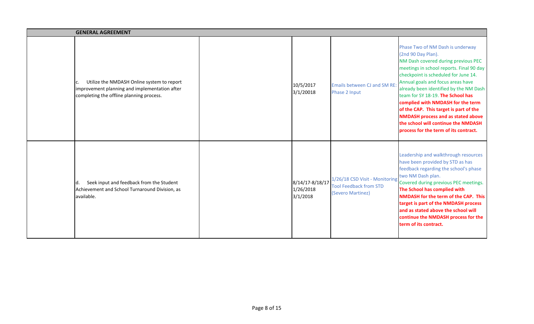| <b>GENERAL AGREEMENT</b>                                                                                                                |                                          |                                                                                      |                                                                                                                                                                                                                                                                                                                                                                                                                                                                                                                   |
|-----------------------------------------------------------------------------------------------------------------------------------------|------------------------------------------|--------------------------------------------------------------------------------------|-------------------------------------------------------------------------------------------------------------------------------------------------------------------------------------------------------------------------------------------------------------------------------------------------------------------------------------------------------------------------------------------------------------------------------------------------------------------------------------------------------------------|
| Utilize the NMDASH Online system to report<br>improvement planning and implementation after<br>completing the offline planning process. | 10/5/2017<br>3/1/20018                   | <b>Emails between CJ and SM RE:</b><br>Phase 2 Input                                 | Phase Two of NM Dash is underway<br>(2nd 90 Day Plan).<br>NM Dash covered during previous PEC<br>meetings in school reports. Final 90 day<br>checkpoint is scheduled for June 14.<br>Annual goals and focus areas have<br>already been identified by the NM Dash<br>team for SY 18-19. The School has<br>complied with NMDASH for the term<br>of the CAP. This target is part of the<br><b>NMDASH process and as stated above</b><br>the school will continue the NMDASH<br>process for the term of its contract. |
| Seek input and feedback from the Student<br>Id.<br>Achievement and School Turnaround Division, as<br>available.                         | 8/14/17-8/18/17<br>1/26/2018<br>3/1/2018 | 1/26/18 CSD Visit - Monitoring<br><b>Tool Feedback from STD</b><br>(Severo Martinez) | Leadership and walkthrough resources<br>have been provided by STD as has<br>feedback regarding the school's phase<br>two NM Dash plan.<br>Covered during previous PEC meetings.<br>The School has complied with<br><b>NMDASH for the term of the CAP. This</b><br>target is part of the NMDASH process<br>and as stated above the school will<br>continue the NMDASH process for the<br>term of its contract.                                                                                                     |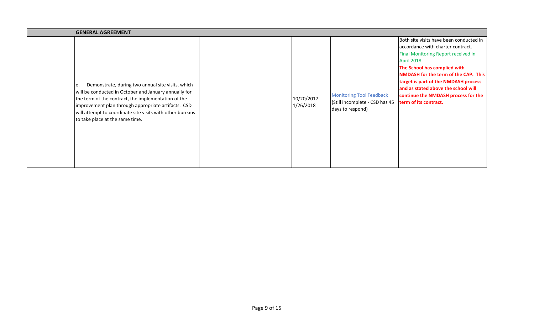| <b>GENERAL AGREEMENT</b>                                                                                                                                                                                                                                                                                                       |  |                         |                                                                                       |                                                                                                                                                                                                                                                                                                                                                                  |  |  |
|--------------------------------------------------------------------------------------------------------------------------------------------------------------------------------------------------------------------------------------------------------------------------------------------------------------------------------|--|-------------------------|---------------------------------------------------------------------------------------|------------------------------------------------------------------------------------------------------------------------------------------------------------------------------------------------------------------------------------------------------------------------------------------------------------------------------------------------------------------|--|--|
| Demonstrate, during two annual site visits, which<br>e.<br>will be conducted in October and January annually for<br>the term of the contract, the implementation of the<br>improvement plan through appropriate artifacts. CSD<br>will attempt to coordinate site visits with other bureaus<br>to take place at the same time. |  | 10/20/2017<br>1/26/2018 | <b>Monitoring Tool Feedback</b><br>(Still incomplete - CSD has 45<br>days to respond) | Both site visits have been conducted in<br>accordance with charter contract.<br>Final Monitoring Report received in<br>April 2018.<br>The School has complied with<br><b>NMDASH</b> for the term of the CAP. This<br>target is part of the NMDASH process<br>and as stated above the school will<br>continue the NMDASH process for the<br>term of its contract. |  |  |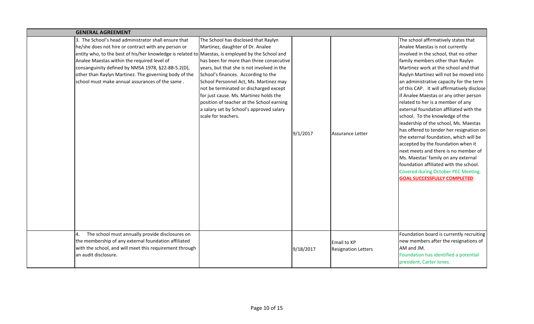| <b>GENERAL AGREEMENT</b>                                                                                                                                                                                                                                                                                                                                                                                                          |                                                                                                                                                                                                                                                                                                                                                                                                                                                         |           |                                           |                                                                                                                                                                                                                                                                                                                                                                                                                                                                                                                                                                                                                                                                                                                                                                                                                                                                         |
|-----------------------------------------------------------------------------------------------------------------------------------------------------------------------------------------------------------------------------------------------------------------------------------------------------------------------------------------------------------------------------------------------------------------------------------|---------------------------------------------------------------------------------------------------------------------------------------------------------------------------------------------------------------------------------------------------------------------------------------------------------------------------------------------------------------------------------------------------------------------------------------------------------|-----------|-------------------------------------------|-------------------------------------------------------------------------------------------------------------------------------------------------------------------------------------------------------------------------------------------------------------------------------------------------------------------------------------------------------------------------------------------------------------------------------------------------------------------------------------------------------------------------------------------------------------------------------------------------------------------------------------------------------------------------------------------------------------------------------------------------------------------------------------------------------------------------------------------------------------------------|
| 3. The School's head administrator shall ensure that<br>he/she does not hire or contract with any person or<br>entity who, to the best of his/her knowledge is related to Maestas, is employed by the School and<br>Analee Maestas within the required level of<br>consanguinity defined by NMSA 1978, §22-8B-5.2(D),<br>other than Raylyn Martinez. The governing body of the<br>school must make annual assurances of the same. | The School has disclosed that Raylyn<br>Martinez, daughter of Dr. Analee<br>has been for more than three consecutive<br>years, but that she is not involved in the<br>School's finances. According to the<br>School Personnel Act, Ms. Martinez may<br>not be terminated or discharged except<br>for just cause. Ms. Martinez holds the<br>position of teacher at the School earning<br>a salary set by School's approved salary<br>scale for teachers. | 9/1/2017  | Assurance Letter                          | The school affirmatively states that<br>Analee Maestas is not currently<br>involved in the school, that no other<br>family members other than Raylyn<br>Martinez work at the school and that<br>Raylyn Martinez will not be moved into<br>an administrative capacity for the term<br>of this CAP. It will affirmatively disclose<br>if Analee Maestas or any other person<br>related to her is a member of any<br>external foundation affiliated with the<br>school. To the knowledge of the<br>leadership of the school, Ms. Maestas<br>has offered to tender her resignation on<br>the external foundation, which will be<br>accepted by the foundation when it<br>next meets and there is no member of<br>Ms. Maestas' family on any external<br>foundation affiliated with the school.<br>Covered during October PEC Meeting.<br><b>GOAL SUCCESSFULLY COMPLETED</b> |
| The school must annually provide disclosures on<br>the membership of any external foundation affiliated<br>with the school, and will meet this requirement through<br>an audit disclosure.                                                                                                                                                                                                                                        |                                                                                                                                                                                                                                                                                                                                                                                                                                                         | 9/18/2017 | Email to KP<br><b>Resignation Letters</b> | Foundation board is currently recruiting<br>new members after the resignations of<br>AM and JM.<br>Foundation has identified a potential<br>president, Carter Jones.                                                                                                                                                                                                                                                                                                                                                                                                                                                                                                                                                                                                                                                                                                    |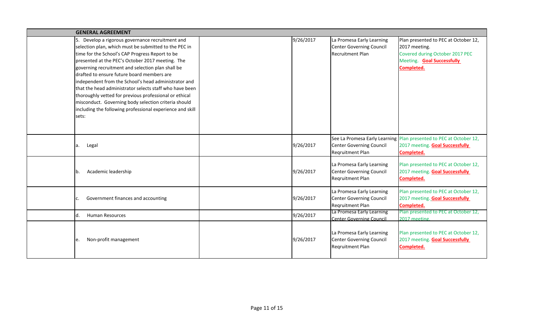| <b>GENERAL AGREEMENT</b>                                                                                                                                                                                                                                                                                                                                                                                                                                                                                                                                                                                                       |           |                                                                                         |                                                                                                                                      |
|--------------------------------------------------------------------------------------------------------------------------------------------------------------------------------------------------------------------------------------------------------------------------------------------------------------------------------------------------------------------------------------------------------------------------------------------------------------------------------------------------------------------------------------------------------------------------------------------------------------------------------|-----------|-----------------------------------------------------------------------------------------|--------------------------------------------------------------------------------------------------------------------------------------|
| 5. Develop a rigorous governance recruitment and<br>selection plan, which must be submitted to the PEC in<br>time for the School's CAP Progress Report to be<br>presented at the PEC's October 2017 meeting. The<br>governing recruitment and selection plan shall be<br>drafted to ensure future board members are<br>independent from the School's head administrator and<br>that the head administrator selects staff who have been<br>thoroughly vetted for previous professional or ethical<br>misconduct. Governing body selection criteria should<br>including the following professional experience and skill<br>sets: | 9/26/2017 | La Promesa Early Learning<br><b>Center Governing Council</b><br><b>Recruitment Plan</b> | Plan presented to PEC at October 12,<br>2017 meeting.<br>Covered during October 2017 PEC<br>Meeting. Goal Successfully<br>Completed. |
| Legal<br>a.                                                                                                                                                                                                                                                                                                                                                                                                                                                                                                                                                                                                                    | 9/26/2017 | <b>Center Governing Council</b><br>Regruitment Plan                                     | See La Promesa Early Learning Plan presented to PEC at October 12,<br>2017 meeting. <b>Goal Successfully</b><br>Completed.           |
| Academic leadership<br>Ib.                                                                                                                                                                                                                                                                                                                                                                                                                                                                                                                                                                                                     | 9/26/2017 | La Promesa Early Learning<br><b>Center Governing Council</b><br>Regruitment Plan        | Plan presented to PEC at October 12,<br>2017 meeting. Goal Successfully<br>Completed.                                                |
| Government finances and accounting                                                                                                                                                                                                                                                                                                                                                                                                                                                                                                                                                                                             | 9/26/2017 | La Promesa Early Learning<br>Center Governing Council<br>Regruitment Plan               | Plan presented to PEC at October 12,<br>2017 meeting. <b>Goal Successfully</b><br>Completed.                                         |
| <b>Human Resources</b><br>Id.                                                                                                                                                                                                                                                                                                                                                                                                                                                                                                                                                                                                  | 9/26/2017 | La Promesa Early Learning<br>Center Governing Council                                   | Plan presented to PEC at October 12,<br>2017 meeting.                                                                                |
| Non-profit management<br>le.                                                                                                                                                                                                                                                                                                                                                                                                                                                                                                                                                                                                   | 9/26/2017 | La Promesa Early Learning<br><b>Center Governing Council</b><br>Regruitment Plan        | Plan presented to PEC at October 12,<br>2017 meeting. Goal Successfully<br>Completed.                                                |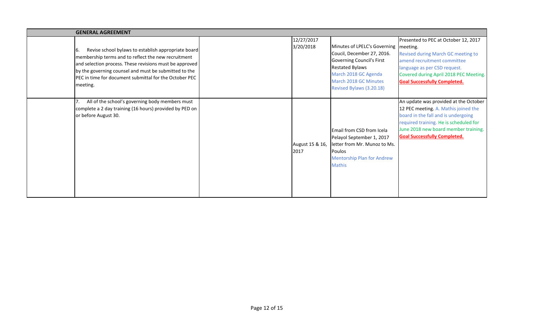|     | <b>GENERAL AGREEMENT</b>                                                                                                                                                                                                                                                                             |  |                         |                                                                                                                                                                                                    |                                                                                                                                                                                                                                               |  |
|-----|------------------------------------------------------------------------------------------------------------------------------------------------------------------------------------------------------------------------------------------------------------------------------------------------------|--|-------------------------|----------------------------------------------------------------------------------------------------------------------------------------------------------------------------------------------------|-----------------------------------------------------------------------------------------------------------------------------------------------------------------------------------------------------------------------------------------------|--|
| 16. | Revise school bylaws to establish appropriate board<br>membership terms and to reflect the new recruitment<br>and selection process. These revisions must be approved<br>by the governing counsel and must be submitted to the<br>PEC in time for document submittal for the October PEC<br>meeting. |  | 12/27/2017<br>3/20/2018 | Minutes of LPELC's Governing   meeting.<br>Coucil, December 27, 2016.<br>Governing Council's First<br>Restated Bylaws<br>March 2018 GC Agenda<br>March 2018 GC Minutes<br>Revised Bylaws (3.20.18) | Presented to PEC at October 12, 2017<br>Revised during March GC meeting to<br>amend recruitment committee<br>language as per CSD request.<br>Covered during April 2018 PEC Meeting.<br><b>Goal Successfully Completed.</b>                    |  |
|     | All of the school's governing body members must<br>complete a 2 day training (16 hours) provided by PED on<br>or before August 30.                                                                                                                                                                   |  | August 15 & 16,<br>2017 | Email from CSD from Icela<br>Pelayol September 1, 2017<br>letter from Mr. Munoz to Ms.<br>Poulos<br><b>Mentorship Plan for Andrew</b><br><b>Mathis</b>                                             | An update was provided at the October<br>12 PEC meeting. A. Mathis joined the<br>board in the fall and is undergoing<br>required training. He is scheduled for<br>June 2018 new board member training.<br><b>Goal Successfully Completed.</b> |  |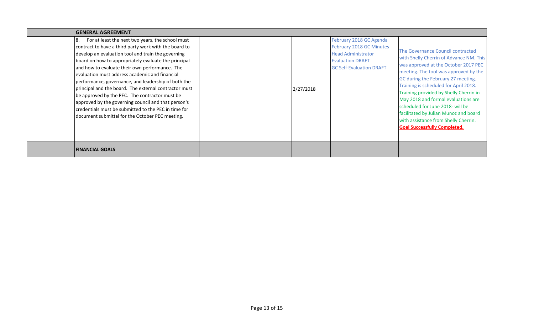| <b>GENERAL AGREEMENT</b>                                                                                                                                                                                                                                                                                                                                                                                                                                                                                                                                                                                                                                        |           |                                                                                                                                                |                                                                                                                                                                                                                                                                                                                                                                                                                                                                                           |  |  |  |  |
|-----------------------------------------------------------------------------------------------------------------------------------------------------------------------------------------------------------------------------------------------------------------------------------------------------------------------------------------------------------------------------------------------------------------------------------------------------------------------------------------------------------------------------------------------------------------------------------------------------------------------------------------------------------------|-----------|------------------------------------------------------------------------------------------------------------------------------------------------|-------------------------------------------------------------------------------------------------------------------------------------------------------------------------------------------------------------------------------------------------------------------------------------------------------------------------------------------------------------------------------------------------------------------------------------------------------------------------------------------|--|--|--|--|
| For at least the next two years, the school must<br>contract to have a third party work with the board to<br>develop an evaluation tool and train the governing<br>board on how to appropriately evaluate the principal<br>and how to evaluate their own performance. The<br>evaluation must address academic and financial<br>performance, governance, and leadership of both the<br>principal and the board. The external contractor must<br>be approved by the PEC. The contractor must be<br>approved by the governing council and that person's<br>credentials must be submitted to the PEC in time for<br>document submittal for the October PEC meeting. | 2/27/2018 | February 2018 GC Agenda<br>February 2018 GC Minutes<br><b>Head Administrator</b><br><b>Evaluation DRAFT</b><br><b>GC Self-Evaluation DRAFT</b> | The Governance Council contracted<br>with Shelly Cherrin of Advance NM. This<br>was approved at the October 2017 PEC<br>meeting. The tool was approved by the<br>GC during the February 27 meeting.<br>Training is scheduled for April 2018.<br>Training provided by Shelly Cherrin in<br>May 2018 and formal evaluations are<br>scheduled for June 2018- will be<br>facilitated by Julian Munoz and board<br>with assistance from Shelly Cherrin.<br><b>Goal Successfully Completed.</b> |  |  |  |  |
| <b>FINANCIAL GOALS</b>                                                                                                                                                                                                                                                                                                                                                                                                                                                                                                                                                                                                                                          |           |                                                                                                                                                |                                                                                                                                                                                                                                                                                                                                                                                                                                                                                           |  |  |  |  |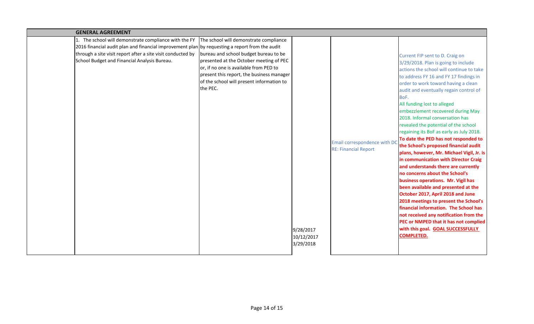| <b>GENERAL AGREEMENT</b>                                                                       |                                           |            |                              |                                                                          |
|------------------------------------------------------------------------------------------------|-------------------------------------------|------------|------------------------------|--------------------------------------------------------------------------|
| The school will demonstrate compliance with the FY                                             | The school will demonstrate compliance    |            |                              |                                                                          |
| 2016 financial audit plan and financial improvement plan by requesting a report from the audit |                                           |            |                              |                                                                          |
| through a site visit report after a site visit conducted by                                    | bureau and school budget bureau to be     |            |                              | Current FIP sent to D. Craig on                                          |
| School Budget and Financial Analysis Bureau.                                                   | presented at the October meeting of PEC   |            |                              | 3/29/2018. Plan is going to include                                      |
|                                                                                                | or, if no one is available from PED to    |            |                              | actions the school will continue to take                                 |
|                                                                                                | present this report, the business manager |            |                              | to address FY 16 and FY 17 findings in                                   |
|                                                                                                | of the school will present information to |            |                              | order to work toward having a clean                                      |
|                                                                                                | the PEC.                                  |            |                              | audit and eventually regain control of                                   |
|                                                                                                |                                           |            |                              | BoF.                                                                     |
|                                                                                                |                                           |            |                              | All funding lost to alleged                                              |
|                                                                                                |                                           |            |                              | embezzlement recovered during May                                        |
|                                                                                                |                                           |            |                              | 2018. Informal conversation has                                          |
|                                                                                                |                                           |            |                              | revealed the potential of the school                                     |
|                                                                                                |                                           |            |                              | regaining its BoF as early as July 2018.                                 |
|                                                                                                |                                           |            | Email correspondence with DO | To date the PED has not responded to                                     |
|                                                                                                |                                           |            | <b>RE: Financial Report</b>  | the School's proposed financial audit                                    |
|                                                                                                |                                           |            |                              | plans, however, Mr. Michael Vigil, Jr. is                                |
|                                                                                                |                                           |            |                              | in communication with Director Craig                                     |
|                                                                                                |                                           |            |                              | and understands there are currently                                      |
|                                                                                                |                                           |            |                              | no concerns about the School's                                           |
|                                                                                                |                                           |            |                              | business operations. Mr. Vigil has                                       |
|                                                                                                |                                           |            |                              | been available and presented at the<br>October 2017, April 2018 and June |
|                                                                                                |                                           |            |                              | 2018 meetings to present the School's                                    |
|                                                                                                |                                           |            |                              | financial information. The School has                                    |
|                                                                                                |                                           |            |                              | not received any notification from the                                   |
|                                                                                                |                                           |            |                              | PEC or NMPED that it has not complied                                    |
|                                                                                                |                                           | 9/28/2017  |                              | with this goal. GOAL SUCCESSFULLY                                        |
|                                                                                                |                                           | 10/12/2017 |                              | <b>COMPLETED.</b>                                                        |
|                                                                                                |                                           | 3/29/2018  |                              |                                                                          |
|                                                                                                |                                           |            |                              |                                                                          |
|                                                                                                |                                           |            |                              |                                                                          |